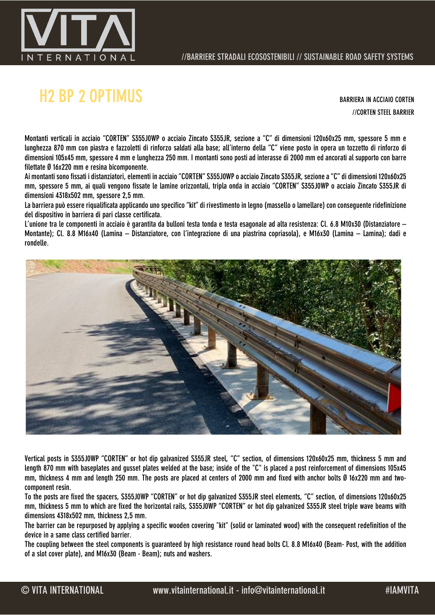

# H2 BP 2 OPTIMUS BARRIERA IN ACCIAIO CORTEN

//CORTEN STEEL BARRIER

Montanti verticali in acciaio "CORTEN" S355J0WP o acciaio Zincato S355JR, sezione a "C" di dimensioni 120x60x25 mm, spessore 5 mm e lunghezza 870 mm con piastra e fazzoletti di rinforzo saldati alla base; all'interno della "C" viene posto in opera un tozzetto di rinforzo di dimensioni 105x45 mm, spessore 4 mm e lunghezza 250 mm. I montanti sono posti ad interasse di 2000 mm ed ancorati al supporto con barre filettate Ø 16x220 mm e resina bicomponente.

Ai montanti sono fissati i distanziatori, elementi in acciaio "CORTEN" S355J0WP o acciaio Zincato S355JR, sezione a "C" di dimensioni 120x60x25 mm, spessore 5 mm, ai quali vengono fissate le lamine orizzontali, tripla onda in acciaio "CORTEN" S355J0WP o acciaio Zincato S355JR di dimensioni 4318x502 mm, spessore 2,5 mm.

La barriera può essere riqualificata applicando uno specifico "kit" di rivestimento in legno (massello o lamellare) con conseguente ridefinizione del dispositivo in barriera di pari classe certificata.

L'unione tra le componenti in acciaio è garantita da bulloni testa tonda e testa esagonale ad alta resistenza: Cl. 6.8 M10x30 (Distanziatore – Montante); Cl. 8.8 M16x40 (Lamina – Distanziatore, con l'integrazione di una piastrina copriasola), e M16x30 (Lamina – Lamina); dadi e rondelle.



Vertical posts in S355J0WP "CORTEN" or hot dip galvanized S355JR steel, "C" section, of dimensions 120x60x25 mm, thickness 5 mm and length 870 mm with baseplates and gusset plates welded at the base; inside of the "C" is placed a post reinforcement of dimensions 105x45 mm, thickness 4 mm and length 250 mm. The posts are placed at centers of 2000 mm and fixed with anchor bolts Ø 16x220 mm and twocomponent resin.

To the posts are fixed the spacers, S355J0WP "CORTEN" or hot dip galvanized S355JR steel elements, "C" section, of dimensions 120x60x25 mm, thickness 5 mm to which are fixed the horizontal rails, S355J0WP "CORTEN" or hot dip galvanized S355JR steel triple wave beams with dimensions 4318x502 mm, thickness 2,5 mm.

The barrier can be repurposed by applying a specific wooden covering "kit" (solid or laminated wood) with the consequent redefinition of the device in a same class certified barrier.

The coupling between the steel components is guaranteed by high resistance round head bolts Cl. 8.8 M16x40 (Beam- Post, with the addition of a slot cover plate), and M16x30 (Beam - Beam); nuts and washers.